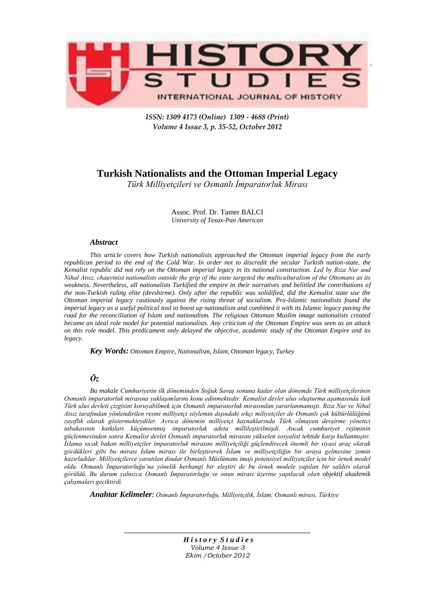

*ISSN: 1309 4173 (Online) 1309 - 4688 (Print) Volume 4 Issue 3, p. 35-52, October 2012* 

# **Turkish Nationalists and the Ottoman Imperial Legacy**

*Türk Milliyetçileri ve Osmanlı İmparatorluk Mirası*

Assoc. Prof. Dr. Tamer BALCI *University of Texax-Pan American*

# *Abstract*

*This article covers how Turkish nationalists approached the Ottoman imperial legacy from the early republican period to the end of the Cold War. In order not to discredit the secular Turkish nation-state, the Kemalist republic did not rely on the Ottoman imperial legacy in its national construction. Led by Rıza Nur and Nihal Atsız, chauvinist nationalists outside the grip of the state targeted the multiculturalism of the Ottomans as its weakness. Nevertheless, all nationalists Turkified the empire in their narratives and belittled the contributions of the non-Turkish ruling elite (devshirme). Only after the republic was solidified, did the Kemalist state use the Ottoman imperial legacy cautiously against the rising threat of socialism. Pro-Islamic nationalists found the imperial legacy as a useful political tool to boost up nationalism and combined it with its Islamic legacy paving the road for the reconciliation of Islam and nationalism. The religious Ottoman Muslim image nationalists created became an ideal role model for potential nationalists. Any criticism of the Ottoman Empire was seen as an attack on this role model. This predicament only delayed the objective, academic study of the Ottoman Empire and its legacy.*

*Key Words: Ottoman Empire, Nationalism, Islam, Ottoman legacy, Turkey*

# *Öz*

*Bu makale Cumhuriyetin ilk döneminden Soğuk Savaş sonuna kadar olan dönemde Türk milliyetçilerinin Osmanlı imparatorluk mirasına yaklaşımlarını konu edinmektedir. Kemalist devlet ulus oluşturma aşamasında laik Türk ulus devleti çizgisini koruyabilmek için Osmanlı imparatorluk mirasından yararlanmamıştı. Rıza Nur ve Nihal Atsız tarafından yönlendirilen resmi milliyetçi söylemin dışındaki ırkçı miliyetçiler de Osmanlı çok kültürlülüğünü zayıflık olarak göstermekteydiler. Ayrıca dönemin milliyetçi kaynaklarında Türk olmayan devşirme yönetici tabakasının katkıları küçümsenmiş imparatorluk adeta millileştirilmişdi. Ancak cumhuriyet rejiminin güçlenmesinden sonra Kemalist devlet Osmanlı imparatorluk mirasını yükselen sosyalist tehtide karşı kullanmıştır. İslama sıcak bakan milliyetçiler imparatorluk mirasını milliyetçiliği güçlendirecek önemli bir siyasi araç olarak gördükleri gibi bu mirası İslam mirası ile birleştirerek İslam ve milliyetçiliğin bir araya gelmesine zemin hazırladılar. Milliyetçilerce yaratılan dindar Osmanlı Müslümanı imajı potensiyel milliyetçiler için bir örnek model oldu. Osmanlı İmparatorluğu'na yönelik herhangi bir eleştiri de bu örnek modele yapılan bir saldırı olarak görüldü. Bu durum yalnızca Osmanlı İmparatorluğu ve onun mirası üzerine yapılacak olan objektif akademik çalışmaları geciktirdi.*

*Anahtar Kelimeler*: *Osmanlı İmparatorluğu, Milliyetçilik, İslam, Osmanlı mirası, Türkiye*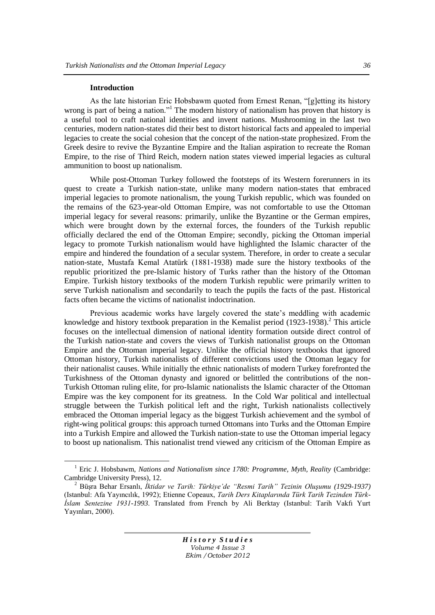#### **Introduction**

 $\overline{a}$ 

As the late historian Eric Hobsbawm quoted from Ernest Renan, "[g]etting its history wrong is part of being a nation."<sup>1</sup> The modern history of nationalism has proven that history is a useful tool to craft national identities and invent nations. Mushrooming in the last two centuries, modern nation-states did their best to distort historical facts and appealed to imperial legacies to create the social cohesion that the concept of the nation-state prophesized. From the Greek desire to revive the Byzantine Empire and the Italian aspiration to recreate the Roman Empire, to the rise of Third Reich, modern nation states viewed imperial legacies as cultural ammunition to boost up nationalism.

While post-Ottoman Turkey followed the footsteps of its Western forerunners in its quest to create a Turkish nation-state, unlike many modern nation-states that embraced imperial legacies to promote nationalism, the young Turkish republic, which was founded on the remains of the 623-year-old Ottoman Empire, was not comfortable to use the Ottoman imperial legacy for several reasons: primarily, unlike the Byzantine or the German empires, which were brought down by the external forces, the founders of the Turkish republic officially declared the end of the Ottoman Empire; secondly, picking the Ottoman imperial legacy to promote Turkish nationalism would have highlighted the Islamic character of the empire and hindered the foundation of a secular system. Therefore, in order to create a secular nation-state, Mustafa Kemal Atatürk (1881-1938) made sure the history textbooks of the republic prioritized the pre-Islamic history of Turks rather than the history of the Ottoman Empire. Turkish history textbooks of the modern Turkish republic were primarily written to serve Turkish nationalism and secondarily to teach the pupils the facts of the past. Historical facts often became the victims of nationalist indoctrination.

Previous academic works have largely covered the state's meddling with academic knowledge and history textbook preparation in the Kemalist period  $(1923-1938)$ .<sup>2</sup> This article focuses on the intellectual dimension of national identity formation outside direct control of the Turkish nation-state and covers the views of Turkish nationalist groups on the Ottoman Empire and the Ottoman imperial legacy. Unlike the official history textbooks that ignored Ottoman history, Turkish nationalists of different convictions used the Ottoman legacy for their nationalist causes. While initially the ethnic nationalists of modern Turkey forefronted the Turkishness of the Ottoman dynasty and ignored or belittled the contributions of the non-Turkish Ottoman ruling elite, for pro-Islamic nationalists the Islamic character of the Ottoman Empire was the key component for its greatness. In the Cold War political and intellectual struggle between the Turkish political left and the right, Turkish nationalists collectively embraced the Ottoman imperial legacy as the biggest Turkish achievement and the symbol of right-wing political groups: this approach turned Ottomans into Turks and the Ottoman Empire into a Turkish Empire and allowed the Turkish nation-state to use the Ottoman imperial legacy to boost up nationalism. This nationalist trend viewed any criticism of the Ottoman Empire as

<sup>&</sup>lt;sup>1</sup> Eric J. Hobsbawm, *Nations and Nationalism since 1780: Programme, Myth, Reality* (Cambridge: Cambridge University Press), 12.

<sup>2</sup> BüĢra Behar Ersanlı, *İktidar ve Tarih: Türkiye'de "Resmi Tarih" Tezinin Oluşumu (1929-1937)* (Istanbul: Afa Yayıncılık, 1992); Etienne Copeaux, *Tarih Ders Kitaplarında Türk Tarih Tezinden Türk-İslam Sentezine 1931-1993*. Translated from French by Ali Berktay (Istanbul: Tarih Vakfı Yurt Yayınları, 2000).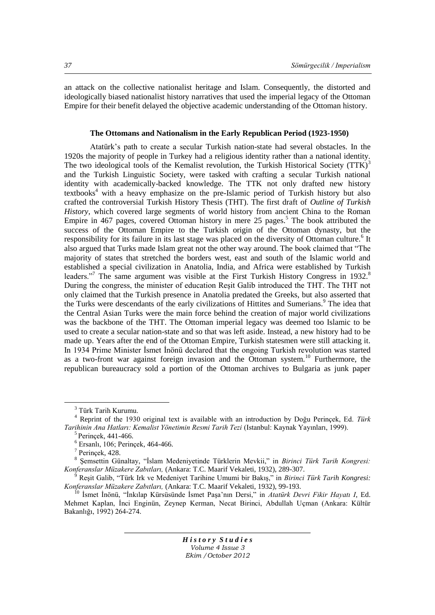an attack on the collective nationalist heritage and Islam. Consequently, the distorted and ideologically biased nationalist history narratives that used the imperial legacy of the Ottoman Empire for their benefit delayed the objective academic understanding of the Ottoman history.

# **The Ottomans and Nationalism in the Early Republican Period (1923-1950)**

Atatürk"s path to create a secular Turkish nation-state had several obstacles. In the 1920s the majority of people in Turkey had a religious identity rather than a national identity. The two ideological tools of the Kemalist revolution, the Turkish Historical Society (TTK)<sup>3</sup> and the Turkish Linguistic Society, were tasked with crafting a secular Turkish national identity with academically-backed knowledge. The TTK not only drafted new history textbooks $4$  with a heavy emphasize on the pre-Islamic period of Turkish history but also crafted the controversial Turkish History Thesis (THT). The first draft of *Outline of Turkish History*, which covered large segments of world history from ancient China to the Roman Empire in 467 pages, covered Ottoman history in mere 25 pages.<sup>5</sup> The book attributed the success of the Ottoman Empire to the Turkish origin of the Ottoman dynasty, but the responsibility for its failure in its last stage was placed on the diversity of Ottoman culture.<sup>6</sup> It also argued that Turks made Islam great not the other way around. The book claimed that "The majority of states that stretched the borders west, east and south of the Islamic world and established a special civilization in Anatolia, India, and Africa were established by Turkish leaders."<sup>7</sup> The same argument was visible at the First Turkish History Congress in 1932.<sup>8</sup> During the congress, the minister of education Resit Galib introduced the THT. The THT not only claimed that the Turkish presence in Anatolia predated the Greeks, but also asserted that the Turks were descendants of the early civilizations of Hittites and Sumerians.<sup>9</sup> The idea that the Central Asian Turks were the main force behind the creation of major world civilizations was the backbone of the THT. The Ottoman imperial legacy was deemed too Islamic to be used to create a secular nation-state and so that was left aside. Instead, a new history had to be made up. Years after the end of the Ottoman Empire, Turkish statesmen were still attacking it. In 1934 Prime Minister İsmet İnönü declared that the ongoing Turkish revolution was started as a two-front war against foreign invasion and the Ottoman system.<sup>10</sup> Furthermore, the republican bureaucracy sold a portion of the Ottoman archives to Bulgaria as junk paper

 $\overline{a}$ 

<sup>3</sup> Türk Tarih Kurumu.

<sup>4</sup> Reprint of the 1930 original text is available with an introduction by Doğu Perinçek, Ed. *Türk Tarihinin Ana Hatları: Kemalist Yönetimin Resmi Tarih Tezi* (Istanbul: Kaynak Yayınları, 1999).

<sup>5</sup> Perinçek, 441-466.

<sup>6</sup> Ersanlı, 106; Perinçek, 464-466.

<sup>7</sup> Perinçek, 428.

<sup>8</sup> ġemsettin Günaltay, "Ġslam Medeniyetinde Türklerin Mevkii," in *Birinci Türk Tarih Kongresi: Konferanslar Müzakere Zabıtları,* (Ankara: T.C. Maarif Vekaleti, 1932), 289-307.

Reşit Galib, "Türk Irk ve Medeniyet Tarihine Umumi bir Bakıs," in *Birinci Türk Tarih Kongresi: Konferanslar Müzakere Zabıtları,* (Ankara: T.C. Maarif Vekaleti, 1932), 99-193.

<sup>&</sup>lt;sup>10</sup> İsmet İnönü, "İnkılap Kürsüsünde İsmet Paşa'nın Dersi," in *Atatürk Devri Fikir Hayatı I*, Ed. Mehmet Kaplan, İnci Enginün, Zeynep Kerman, Necat Birinci, Abdullah Uçman (Ankara: Kültür Bakanlığı, 1992) 264-274.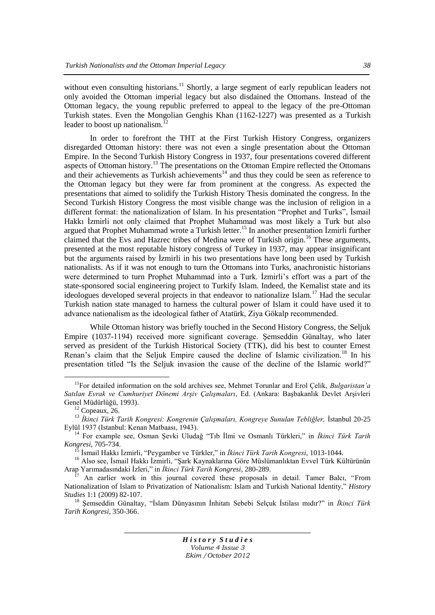without even consulting historians.<sup>11</sup> Shortly, a large segment of early republican leaders not only avoided the Ottoman imperial legacy but also disdained the Ottomans. Instead of the Ottoman legacy, the young republic preferred to appeal to the legacy of the pre-Ottoman Turkish states. Even the Mongolian Genghis Khan (1162-1227) was presented as a Turkish leader to boost up nationalism.<sup>1</sup>

In order to forefront the THT at the First Turkish History Congress, organizers disregarded Ottoman history: there was not even a single presentation about the Ottoman Empire. In the Second Turkish History Congress in 1937, four presentations covered different aspects of Ottoman history.<sup>13</sup> The presentations on the Ottoman Empire reflected the Ottomans and their achievements as Turkish achievements $14$  and thus they could be seen as reference to the Ottoman legacy but they were far from prominent at the congress. As expected the presentations that aimed to solidify the Turkish History Thesis dominated the congress. In the Second Turkish History Congress the most visible change was the inclusion of religion in a different format: the nationalization of Islam. In his presentation "Prophet and Turks", Ismail Hakkı İzmirli not only claimed that Prophet Muhammad was most likely a Turk but also argued that Prophet Muhammad wrote a Turkish letter.<sup>15</sup> In another presentation İzmirli further claimed that the Evs and Hazrec tribes of Medina were of Turkish origin.<sup>16</sup> These arguments, presented at the most reputable history congress of Turkey in 1937, may appear insignificant but the arguments raised by Izmirli in his two presentations have long been used by Turkish nationalists. As if it was not enough to turn the Ottomans into Turks, anachronistic historians were determined to turn Prophet Muhammad into a Turk. Izmirli's effort was a part of the state-sponsored social engineering project to Turkify Islam. Indeed, the Kemalist state and its ideologues developed several projects in that endeavor to nationalize Islam.<sup>17</sup> Had the secular Turkish nation state managed to harness the cultural power of Islam it could have used it to advance nationalism as the ideological father of Atatürk, Ziya Gökalp recommended.

While Ottoman history was briefly touched in the Second History Congress, the Seljuk Empire (1037-1194) received more significant coverage. Semseddin Günaltay, who later served as president of the Turkish Historical Society (TTK), did his best to counter Ernest Renan's claim that the Seljuk Empire caused the decline of Islamic civilization.<sup>18</sup> In his presentation titled "Is the Seljuk invasion the cause of the decline of the Islamic world?"

 $\overline{a}$ 

<sup>11</sup>For detailed information on the sold archives see, Mehmet Torunlar and Erol Çelik, *Bulgaristan'a Satılan Evrak ve Cumhuriyet Dönemi Arşiv Çalışmaları*, Ed. (Ankara: BaĢbakanlık Devlet ArĢivleri Genel Müdürlüğü, 1993).

 $12$  Copeaux, 26.

<sup>&</sup>lt;sup>13</sup> İkinci Türk Tarih Kongresi: Kongrenin Çalışmaları, Kongreye Sunulan Tebliğler, İstanbul 20-25 Eylül 1937 (Istanbul: Kenan Matbaası, 1943).

<sup>&</sup>lt;sup>14</sup> For example see, Osman Şevki Uludağ "Tıb İlmi ve Osmanlı Türkleri," in *İkinci Türk Tarih Kongresi*, 705-734.

<sup>15</sup> Ġsmail Hakkı Ġzmirli, "Peygamber ve Türkler," in *İkinci Türk Tarih Kongresi*, 1013-1044.

<sup>&</sup>lt;sup>16</sup> Also see, İsmail Hakkı İzmirli, "Şark Kaynaklarına Göre Müslümanlıktan Evvel Türk Kültürünün Arap Yarımadasındaki Ġzleri," in *İkinci Türk Tarih Kongresi*, 280-289.

<sup>17</sup> An earlier work in this journal covered these proposals in detail. Tamer Balcı, ["From](http://www.historystudies.net/DergiTamDetay.aspx?ID=10&Detay=Ozet)  [Nationalization of Islam to Privatization of Nationalism: Islam and Turkish National Identity,"](http://www.historystudies.net/DergiTamDetay.aspx?ID=10&Detay=Ozet) *History Studies* [1:1 \(2009\) 82-107.](http://www.historystudies.net/DergiTamDetay.aspx?ID=10&Detay=Ozet)

<sup>&</sup>lt;sup>18</sup> Semseddin Günaltay, "İslam Dünyasının İnhitatı Sebebi Selçuk İstilası mıdır?" in *İkinci Türk Tarih Kongresi*, 350-366.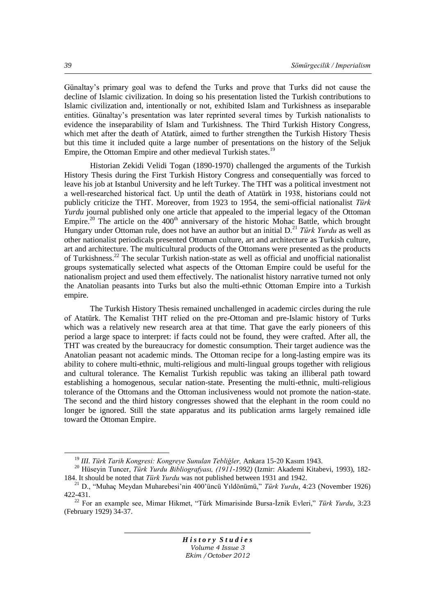Günaltay"s primary goal was to defend the Turks and prove that Turks did not cause the decline of Islamic civilization. In doing so his presentation listed the Turkish contributions to Islamic civilization and, intentionally or not, exhibited Islam and Turkishness as inseparable entities. Günaltay"s presentation was later reprinted several times by Turkish nationalists to evidence the inseparability of Islam and Turkishness. The Third Turkish History Congress, which met after the death of Atatürk, aimed to further strengthen the Turkish History Thesis but this time it included quite a large number of presentations on the history of the Seljuk Empire, the Ottoman Empire and other medieval Turkish states.<sup>19</sup>

Historian Zekidi Velidi Togan (1890-1970) challenged the arguments of the Turkish History Thesis during the First Turkish History Congress and consequentially was forced to leave his job at Istanbul University and he left Turkey. The THT was a political investment not a well-researched historical fact. Up until the death of Atatürk in 1938, historians could not publicly criticize the THT. Moreover, from 1923 to 1954, the semi-official nationalist *Türk Yurdu* journal published only one article that appealed to the imperial legacy of the Ottoman Empire.<sup>20</sup> The article on the  $400<sup>th</sup>$  anniversary of the historic Mohac Battle, which brought Hungary under Ottoman rule, does not have an author but an initial D.<sup>21</sup> *Türk Yurdu* as well as other nationalist periodicals presented Ottoman culture, art and architecture as Turkish culture, art and architecture. The multicultural products of the Ottomans were presented as the products of Turkishness.<sup>22</sup> The secular Turkish nation-state as well as official and unofficial nationalist groups systematically selected what aspects of the Ottoman Empire could be useful for the nationalism project and used them effectively. The nationalist history narrative turned not only the Anatolian peasants into Turks but also the multi-ethnic Ottoman Empire into a Turkish empire.

The Turkish History Thesis remained unchallenged in academic circles during the rule of Atatürk. The Kemalist THT relied on the pre-Ottoman and pre-Islamic history of Turks which was a relatively new research area at that time. That gave the early pioneers of this period a large space to interpret: if facts could not be found, they were crafted. After all, the THT was created by the bureaucracy for domestic consumption. Their target audience was the Anatolian peasant not academic minds. The Ottoman recipe for a long-lasting empire was its ability to cohere multi-ethnic, multi-religious and multi-lingual groups together with religious and cultural tolerance. The Kemalist Turkish republic was taking an illiberal path toward establishing a homogenous, secular nation-state. Presenting the multi-ethnic, multi-religious tolerance of the Ottomans and the Ottoman inclusiveness would not promote the nation-state. The second and the third history congresses showed that the elephant in the room could no longer be ignored. Still the state apparatus and its publication arms largely remained idle toward the Ottoman Empire.

*H i s t o r y S t u d i e s Volume 4 Issue 3 Ekim /October 2012*

<sup>19</sup> *III. Türk Tarih Kongresi: Kongreye Sunulan Tebliğler,* Ankara 15-20 Kasım 1943.

<sup>20</sup> Hüseyin Tuncer, *Türk Yurdu Bibliografyası, (1911-1992)* (Izmir: Akademi Kitabevi, 1993), 182- 184. It should be noted that *Türk Yurdu* was not published between 1931 and 1942.

<sup>21</sup> D., "Muhaç Meydan Muharebesi"nin 400"üncü Yıldönümü," *Türk Yurdu*, 4:23 (November 1926) 422-431.

<sup>&</sup>lt;sup>22</sup> For an example see, Mimar Hikmet, "Türk Mimarisinde Bursa-İznik Evleri," Türk Yurdu, 3:23 (February 1929) 34-37.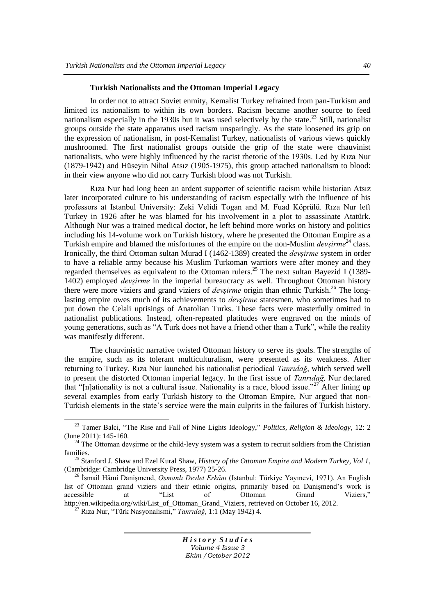# **Turkish Nationalists and the Ottoman Imperial Legacy**

In order not to attract Soviet enmity, Kemalist Turkey refrained from pan-Turkism and limited its nationalism to within its own borders. Racism became another source to feed nationalism especially in the 1930s but it was used selectively by the state.<sup>23</sup> Still, nationalist groups outside the state apparatus used racism unsparingly. As the state loosened its grip on the expression of nationalism, in post-Kemalist Turkey, nationalists of various views quickly mushroomed. The first nationalist groups outside the grip of the state were chauvinist nationalists, who were highly influenced by the racist rhetoric of the 1930s. Led by Rıza Nur (1879-1942) and Hüseyin Nihal Atsız (1905-1975), this group attached nationalism to blood: in their view anyone who did not carry Turkish blood was not Turkish.

Rıza Nur had long been an ardent supporter of scientific racism while historian Atsız later incorporated culture to his understanding of racism especially with the influence of his professors at Istanbul University: Zeki Velidi Togan and M. Fuad Köprülü. Rıza Nur left Turkey in 1926 after he was blamed for his involvement in a plot to assassinate Atatürk. Although Nur was a trained medical doctor, he left behind more works on history and politics including his 14-volume work on Turkish history, where he presented the Ottoman Empire as a Turkish empire and blamed the misfortunes of the empire on the non-Muslim *devsirme*<sup>24</sup> class. Ironically, the third Ottoman sultan Murad I (1462-1389) created the *devşirme* system in order to have a reliable army because his Muslim Turkoman warriors were after money and they regarded themselves as equivalent to the Ottoman rulers.<sup>25</sup> The next sultan Bayezid I (1389-1402) employed *devşirme* in the imperial bureaucracy as well. Throughout Ottoman history there were more viziers and grand viziers of *devsirme* origin than ethnic Turkish.<sup>26</sup> The longlasting empire owes much of its achievements to *devşirme* statesmen, who sometimes had to put down the Celali uprisings of Anatolian Turks. These facts were masterfully omitted in nationalist publications. Instead, often-repeated platitudes were engraved on the minds of young generations, such as "A Turk does not have a friend other than a Turk", while the reality was manifestly different.

The chauvinistic narrative twisted Ottoman history to serve its goals. The strengths of the empire, such as its tolerant multiculturalism, were presented as its weakness. After returning to Turkey, Rıza Nur launched his nationalist periodical *Tanrıdağ*, which served well to present the distorted Ottoman imperial legacy. In the first issue of *Tanrıdağ,* Nur declared that "[n]ationality is not a cultural issue. Nationality is a race, blood issue."<sup>27</sup> After lining up several examples from early Turkish history to the Ottoman Empire, Nur argued that non-Turkish elements in the state"s service were the main culprits in the failures of Turkish history.

 $\overline{a}$ 

<sup>23</sup> Tamer Balci, "The Rise and Fall of Nine Lights Ideology," *Politics, Religion & Ideology*, 12: 2 (June 2011): 145-160.

 $24$  The Ottoman devsirme or the child-levy system was a system to recruit soldiers from the Christian families.

<sup>25</sup> Stanford J. Shaw and Ezel Kural Shaw, *History of the Ottoman Empire and Modern Turkey, Vol 1*, (Cambridge: Cambridge University Press, 1977) 25-26.

<sup>&</sup>lt;sup>26</sup> İsmail Hâmi Danismend, *Osmanlı Devlet Erkânı* (Istanbul: Türkiye Yayınevi, 1971). An English list of Ottoman grand viziers and their ethnic origins, primarily based on Danismend's work is accessible at "List of Ottoman Grand Viziers," [http://en.wikipedia.org/wiki/List\\_of\\_Ottoman\\_Grand\\_Viziers,](http://en.wikipedia.org/wiki/List_of_Ottoman_Grand_Viziers) retrieved on October 16, 2012.

<sup>27</sup> Rıza Nur, "Türk Nasyonalismi," *Tanrıdağ*, 1:1 (May 1942) 4.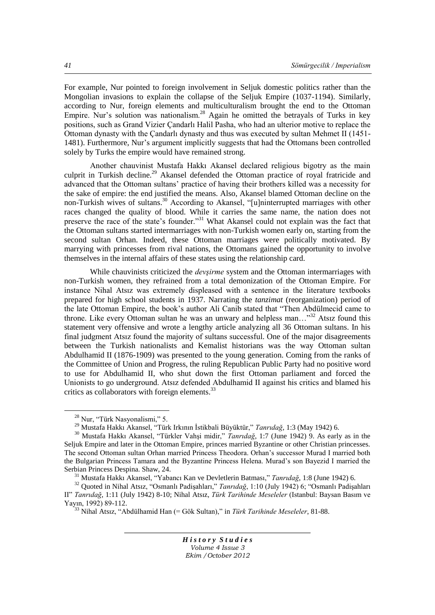For example, Nur pointed to foreign involvement in Seljuk domestic politics rather than the Mongolian invasions to explain the collapse of the Seljuk Empire (1037-1194). Similarly, according to Nur, foreign elements and multiculturalism brought the end to the Ottoman Empire. Nur's solution was nationalism.<sup>28</sup> Again he omitted the betrayals of Turks in key positions, such as Grand Vizier Çandarlı Halil Pasha, who had an ulterior motive to replace the Ottoman dynasty with the Çandarlı dynasty and thus was executed by sultan Mehmet II (1451- 1481). Furthermore, Nur"s argument implicitly suggests that had the Ottomans been controlled solely by Turks the empire would have remained strong.

Another chauvinist Mustafa Hakkı Akansel declared religious bigotry as the main culprit in Turkish decline.<sup>29</sup> Akansel defended the Ottoman practice of royal fratricide and advanced that the Ottoman sultans" practice of having their brothers killed was a necessity for the sake of empire: the end justified the means. Also, Akansel blamed Ottoman decline on the non-Turkish wives of sultans.<sup>30</sup> According to Akansel, "[u]ninterrupted marriages with other races changed the quality of blood. While it carries the same name, the nation does not preserve the race of the state's founder."<sup>31</sup> What Akansel could not explain was the fact that the Ottoman sultans started intermarriages with non-Turkish women early on, starting from the second sultan Orhan. Indeed, these Ottoman marriages were politically motivated. By marrying with princesses from rival nations, the Ottomans gained the opportunity to involve themselves in the internal affairs of these states using the relationship card.

While chauvinists criticized the *devşirme* system and the Ottoman intermarriages with non-Turkish women, they refrained from a total demonization of the Ottoman Empire. For instance Nihal Atsız was extremely displeased with a sentence in the literature textbooks prepared for high school students in 1937. Narrating the *tanzimat* (reorganization) period of the late Ottoman Empire, the book"s author Ali Canib stated that "Then Abdülmecid came to throne. Like every Ottoman sultan he was an unwary and helpless man...<sup>33</sup> Atsiz found this statement very offensive and wrote a lengthy article analyzing all 36 Ottoman sultans. In his final judgment Atsız found the majority of sultans successful. One of the major disagreements between the Turkish nationalists and Kemalist historians was the way Ottoman sultan Abdulhamid II (1876-1909) was presented to the young generation. Coming from the ranks of the Committee of Union and Progress, the ruling Republican Public Party had no positive word to use for Abdulhamid II, who shut down the first Ottoman parliament and forced the Unionists to go underground. Atsız defended Abdulhamid II against his critics and blamed his critics as collaborators with foreign elements.<sup>33</sup>

 $\overline{a}$ 

<sup>28</sup> Nur, "Türk Nasyonalismi," 5.

<sup>29</sup> Mustafa Hakkı Akansel, "Türk Irkının Ġstikbali Büyüktür," *Tanrıdağ*, 1:3 (May 1942) 6.

<sup>&</sup>lt;sup>30</sup> Mustafa Hakkı Akansel, "Türkler Vahşi midir," *Tanrıdağ*, 1:7 (June 1942) 9. As early as in the Seljuk Empire and later in the Ottoman Empire, princes married Byzantine or other Christian princesses. The second Ottoman sultan Orhan married Princess Theodora. Orhan"s successor Murad I married both the Bulgarian Princess Tamara and the Byzantine Princess Helena. Murad"s son Bayezid I married the Serbian Princess Despina. Shaw, 24.

<sup>31</sup> Mustafa Hakkı Akansel, "Yabancı Kan ve Devletlerin Batması," *Tanrıdağ*, 1:8 (June 1942) 6.

<sup>&</sup>lt;sup>32</sup> Quoted in Nihal Atsız, "Osmanlı Padişahları," *Tanrıdağ*, 1:10 (July 1942) 6; "Osmanlı Padişahları II" *Tanrıdağ*, 1:11 (July 1942) 8-10; Nihal Atsız, *Türk Tarihinde Meseleler* (Istanbul: Baysan Basım ve Yayın, 1992) 89-112.

<sup>33</sup> Nihal Atsız, "Abdülhamid Han (= Gök Sultan)," in *Türk Tarihinde Meseleler*, 81-88.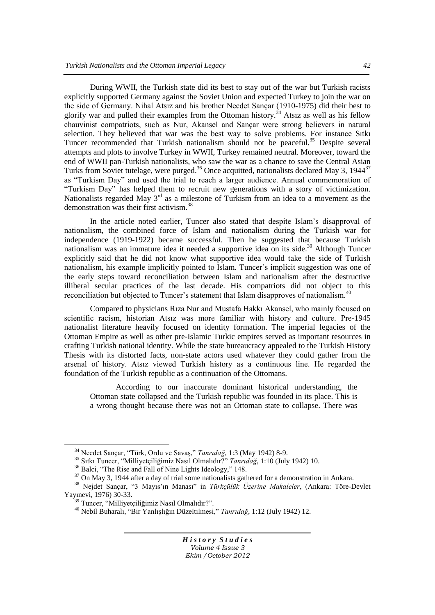During WWII, the Turkish state did its best to stay out of the war but Turkish racists explicitly supported Germany against the Soviet Union and expected Turkey to join the war on the side of Germany. Nihal Atsız and his brother Necdet Sançar (1910-1975) did their best to glorify war and pulled their examples from the Ottoman history.<sup>34</sup> Atsız as well as his fellow chauvinist compatriots, such as Nur, Akansel and Sançar were strong believers in natural selection. They believed that war was the best way to solve problems. For instance Sıtkı Tuncer recommended that Turkish nationalism should not be peaceful.<sup>35</sup> Despite several attempts and plots to involve Turkey in WWII, Turkey remained neutral. Moreover, toward the end of WWII pan-Turkish nationalists, who saw the war as a chance to save the Central Asian Turks from Soviet tutelage, were purged.<sup>36</sup> Once acquitted, nationalists declared May 3, 1944<sup>37</sup> as "Turkism Day" and used the trial to reach a larger audience. Annual commemoration of "Turkism Day" has helped them to recruit new generations with a story of victimization. Nationalists regarded May  $3<sup>rd</sup>$  as a milestone of Turkism from an idea to a movement as the demonstration was their first activism.<sup>38</sup>

In the article noted earlier, Tuncer also stated that despite Islam"s disapproval of nationalism, the combined force of Islam and nationalism during the Turkish war for independence (1919-1922) became successful. Then he suggested that because Turkish nationalism was an immature idea it needed a supportive idea on its side.<sup>39</sup> Although Tuncer explicitly said that he did not know what supportive idea would take the side of Turkish nationalism, his example implicitly pointed to Islam. Tuncer"s implicit suggestion was one of the early steps toward reconciliation between Islam and nationalism after the destructive illiberal secular practices of the last decade. His compatriots did not object to this reconciliation but objected to Tuncer's statement that Islam disapproves of nationalism.<sup>40</sup>

Compared to physicians Rıza Nur and Mustafa Hakkı Akansel, who mainly focused on scientific racism, historian Atsız was more familiar with history and culture. Pre-1945 nationalist literature heavily focused on identity formation. The imperial legacies of the Ottoman Empire as well as other pre-Islamic Turkic empires served as important resources in crafting Turkish national identity. While the state bureaucracy appealed to the Turkish History Thesis with its distorted facts, non-state actors used whatever they could gather from the arsenal of history. Atsız viewed Turkish history as a continuous line. He regarded the foundation of the Turkish republic as a continuation of the Ottomans.

According to our inaccurate dominant historical understanding, the Ottoman state collapsed and the Turkish republic was founded in its place. This is a wrong thought because there was not an Ottoman state to collapse. There was

 $\overline{a}$ 

<sup>34</sup> Necdet Sançar, "Türk, Ordu ve SavaĢ," *Tanrıdağ*, 1:3 (May 1942) 8-9.

<sup>35</sup> Sıtkı Tuncer, "Milliyetçiliğimiz Nasıl Olmalıdır?" *Tanrıdağ*, 1:10 (July 1942) 10.

<sup>36</sup> Balci, "The Rise and Fall of Nine Lights Ideology," 148.

 $37$  On May 3, 1944 after a day of trial some nationalists gathered for a demonstration in Ankara.

<sup>38</sup> Nejdet Sançar, "3 Mayıs"ın Manası" in *Türkçülük Üzerine Makaleler*, (Ankara: Töre-Devlet Yayınevi, 1976) 30-33.

<sup>&</sup>lt;sup>39</sup> Tuncer, "Milliyetçiliğimiz Nasıl Olmalıdır?".

<sup>40</sup> Nebil Buharalı, "Bir YanlıĢlığın Düzeltilmesi," *Tanrıdağ*, 1:12 (July 1942) 12.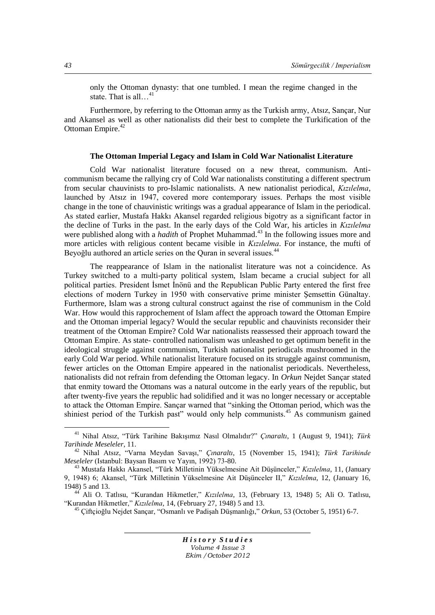only the Ottoman dynasty: that one tumbled. I mean the regime changed in the state. That is all...<sup>41</sup>

Furthermore, by referring to the Ottoman army as the Turkish army, Atsız, Sançar, Nur and Akansel as well as other nationalists did their best to complete the Turkification of the Ottoman Empire.<sup>42</sup>

## **The Ottoman Imperial Legacy and Islam in Cold War Nationalist Literature**

Cold War nationalist literature focused on a new threat, communism. Anticommunism became the rallying cry of Cold War nationalists constituting a different spectrum from secular chauvinists to pro-Islamic nationalists. A new nationalist periodical, *Kızılelma*, launched by Atsız in 1947, covered more contemporary issues. Perhaps the most visible change in the tone of chauvinistic writings was a gradual appearance of Islam in the periodical. As stated earlier, Mustafa Hakkı Akansel regarded religious bigotry as a significant factor in the decline of Turks in the past. In the early days of the Cold War, his articles in *Kızılelma* were published along with a *hadith* of Prophet Muhammad.<sup>43</sup> In the following issues more and more articles with religious content became visible in *Kızılelma*. For instance, the mufti of Beyoğlu authored an article series on the Quran in several issues.<sup>44</sup>

The reappearance of Islam in the nationalist literature was not a coincidence. As Turkey switched to a multi-party political system, Islam became a crucial subject for all political parties. President İsmet İnönü and the Republican Public Party entered the first free elections of modern Turkey in 1950 with conservative prime minister Semsettin Günaltay. Furthermore, Islam was a strong cultural construct against the rise of communism in the Cold War. How would this rapprochement of Islam affect the approach toward the Ottoman Empire and the Ottoman imperial legacy? Would the secular republic and chauvinists reconsider their treatment of the Ottoman Empire? Cold War nationalists reassessed their approach toward the Ottoman Empire. As state- controlled nationalism was unleashed to get optimum benefit in the ideological struggle against communism, Turkish nationalist periodicals mushroomed in the early Cold War period. While nationalist literature focused on its struggle against communism, fewer articles on the Ottoman Empire appeared in the nationalist periodicals. Nevertheless, nationalists did not refrain from defending the Ottoman legacy. In *Orkun* Nejdet Sançar stated that enmity toward the Ottomans was a natural outcome in the early years of the republic, but after twenty-five years the republic had solidified and it was no longer necessary or acceptable to attack the Ottoman Empire. Sançar warned that "sinking the Ottoman period, which was the shiniest period of the Turkish past" would only help communists.<sup>45</sup> As communism gained

<sup>45</sup> Çiftçioğlu Nejdet Sançar, "Osmanlı ve PadiĢah DüĢmanlığı," *Orkun*, 53 (October 5, 1951) 6-7.

*H i s t o r y S t u d i e s Volume 4 Issue 3 Ekim /October 2012*

<sup>41</sup> Nihal Atsız, "Türk Tarihine BakıĢımız Nasıl Olmalıdır?" *Çınaraltı*, 1 (August 9, 1941); *Türk Tarihinde Meseleler*, 11.

<sup>&</sup>lt;sup>42</sup> Nihal Atsız, "Varna Meydan Savası," *Cınaraltı*, 15 (November 15, 1941); *Türk Tarihinde Meseleler* (Istanbul: Baysan Basım ve Yayın, 1992) 73-80.

<sup>43</sup> Mustafa Hakkı Akansel, "Türk Milletinin Yükselmesine Ait DüĢünceler," *Kızılelma*, 11, (January 9, 1948) 6; Akansel, "Türk Milletinin Yükselmesine Ait DüĢünceler II," *Kızılelma*, 12, (January 16, 1948) 5 and 13.

<sup>44</sup> Ali O. Tatlısu, "Kurandan Hikmetler," *Kızılelma*, 13, (February 13, 1948) 5; Ali O. Tatlısu, "Kurandan Hikmetler," *Kızılelma*, 14, (February 27, 1948) 5 and 13.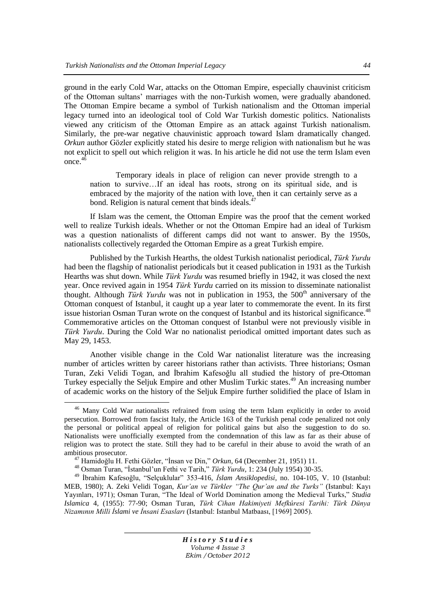ground in the early Cold War, attacks on the Ottoman Empire, especially chauvinist criticism of the Ottoman sultans" marriages with the non-Turkish women, were gradually abandoned. The Ottoman Empire became a symbol of Turkish nationalism and the Ottoman imperial legacy turned into an ideological tool of Cold War Turkish domestic politics. Nationalists viewed any criticism of the Ottoman Empire as an attack against Turkish nationalism. Similarly, the pre-war negative chauvinistic approach toward Islam dramatically changed. *Orkun* author Gözler explicitly stated his desire to merge religion with nationalism but he was not explicit to spell out which religion it was. In his article he did not use the term Islam even once.<sup>4</sup>

Temporary ideals in place of religion can never provide strength to a nation to survive…If an ideal has roots, strong on its spiritual side, and is embraced by the majority of the nation with love, then it can certainly serve as a bond. Religion is natural cement that binds ideals.<sup>4</sup>

If Islam was the cement, the Ottoman Empire was the proof that the cement worked well to realize Turkish ideals. Whether or not the Ottoman Empire had an ideal of Turkism was a question nationalists of different camps did not want to answer. By the 1950s, nationalists collectively regarded the Ottoman Empire as a great Turkish empire.

Published by the Turkish Hearths, the oldest Turkish nationalist periodical, *Türk Yurdu* had been the flagship of nationalist periodicals but it ceased publication in 1931 as the Turkish Hearths was shut down. While *Türk Yurdu* was resumed briefly in 1942, it was closed the next year. Once revived again in 1954 *Türk Yurdu* carried on its mission to disseminate nationalist thought. Although *Türk Yurdu* was not in publication in 1953, the 500<sup>th</sup> anniversary of the Ottoman conquest of Istanbul, it caught up a year later to commemorate the event. In its first issue historian Osman Turan wrote on the conquest of Istanbul and its historical significance.<sup>48</sup> Commemorative articles on the Ottoman conquest of Istanbul were not previously visible in *Türk Yurdu*. During the Cold War no nationalist periodical omitted important dates such as May 29, 1453.

Another visible change in the Cold War nationalist literature was the increasing number of articles written by career historians rather than activists. Three historians; Osman Turan, Zeki Velidi Togan, and İbrahim Kafesoğlu all studied the history of pre-Ottoman Turkey especially the Seljuk Empire and other Muslim Turkic states.<sup>49</sup> An increasing number of academic works on the history of the Seljuk Empire further solidified the place of Islam in

 $\overline{a}$ 

<sup>46</sup> Many Cold War nationalists refrained from using the term Islam explicitly in order to avoid persecution. Borrowed from fascist Italy, the Article 163 of the Turkish penal code penalized not only the personal or political appeal of religion for political gains but also the suggestion to do so. Nationalists were unofficially exempted from the condemnation of this law as far as their abuse of religion was to protect the state. Still they had to be careful in their abuse to avoid the wrath of an ambitious prosecutor.

<sup>&</sup>lt;sup>47</sup> Hamidoğlu H. Fethi Gözler, "İnsan ve Din," Orkun, 64 (December 21, 1951) 11.

<sup>&</sup>lt;sup>48</sup> Osman Turan, "İstanbul'un Fethi ve Tarih," *Türk Yurdu*, 1: 234 (July 1954) 30-35.

<sup>&</sup>lt;sup>49</sup> İbrahim Kafesoğlu, "Selçuklular" 353-416, *İslam Ansiklopedisi*, no. 104-105, V. 10 (Istanbul: MEB, 1980); A. Zeki Velidi Togan, *Kur'an ve Türkler "The Qur'an and the Turks"* (Istanbul: Kayı Yayınları, 1971); Osman Turan, "The Ideal of World Domination among the Medieval Turks," *Studia Islamica* 4, (1955): 77-90; Osman Turan, *Türk Cihan Hakimiyeti Mefkûresi Tarihi: Türk Dünya Nizamının Milli İslami ve İnsani Esasları* (Istanbul: Istanbul Matbaası, [1969] 2005).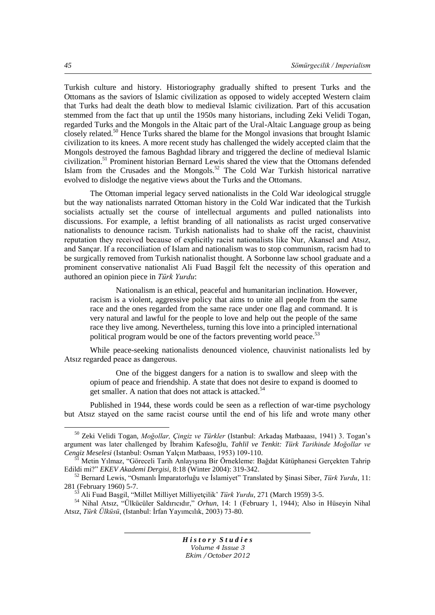Turkish culture and history. Historiography gradually shifted to present Turks and the Ottomans as the saviors of Islamic civilization as opposed to widely accepted Western claim that Turks had dealt the death blow to medieval Islamic civilization. Part of this accusation stemmed from the fact that up until the 1950s many historians, including Zeki Velidi Togan, regarded Turks and the Mongols in the Altaic part of the Ural-Altaic Language group as being closely related.<sup>50</sup> Hence Turks shared the blame for the Mongol invasions that brought Islamic civilization to its knees. A more recent study has challenged the widely accepted claim that the Mongols destroyed the famous Baghdad library and triggered the decline of medieval Islamic civilization.<sup>51</sup> Prominent historian Bernard Lewis shared the view that the Ottomans defended Islam from the Crusades and the Mongols.<sup>52</sup> The Cold War Turkish historical narrative evolved to dislodge the negative views about the Turks and the Ottomans.

The Ottoman imperial legacy served nationalists in the Cold War ideological struggle but the way nationalists narrated Ottoman history in the Cold War indicated that the Turkish socialists actually set the course of intellectual arguments and pulled nationalists into discussions. For example, a leftist branding of all nationalists as racist urged conservative nationalists to denounce racism. Turkish nationalists had to shake off the racist, chauvinist reputation they received because of explicitly racist nationalists like Nur, Akansel and Atsız, and Sançar. If a reconciliation of Islam and nationalism was to stop communism, racism had to be surgically removed from Turkish nationalist thought. A Sorbonne law school graduate and a prominent conservative nationalist Ali Fuad Başgil felt the necessity of this operation and authored an opinion piece in *Türk Yurdu*:

Nationalism is an ethical, peaceful and humanitarian inclination. However, racism is a violent, aggressive policy that aims to unite all people from the same race and the ones regarded from the same race under one flag and command. It is very natural and lawful for the people to love and help out the people of the same race they live among. Nevertheless, turning this love into a principled international political program would be one of the factors preventing world peace.<sup>53</sup>

While peace-seeking nationalists denounced violence, chauvinist nationalists led by Atsız regarded peace as dangerous.

One of the biggest dangers for a nation is to swallow and sleep with the opium of peace and friendship. A state that does not desire to expand is doomed to get smaller. A nation that does not attack is attacked.<sup>54</sup>

Published in 1944, these words could be seen as a reflection of war-time psychology but Atsız stayed on the same racist course until the end of his life and wrote many other

*H i s t o r y S t u d i e s Volume 4 Issue 3 Ekim /October 2012*

<sup>&</sup>lt;sup>50</sup> Zeki Velidi Togan, *Moğollar, Çingiz ve Türkler* (Istanbul: Arkadaş Matbaaası, 1941) 3. Togan's argument was later challenged by Ġbrahim Kafesoğlu, *Tahlil ve Tenkit: Türk Tarihinde Moğollar ve Cengiz Meselesi* (Istanbul: Osman Yalçın Matbaası, 1953) 109-110.

Metin Yılmaz, "Göreceli Tarih Anlayısına Bir Örnekleme: Bağdat Kütüphanesi Gerçekten Tahrip Edildi mi?" *EKEV Akademi Dergisi*, 8:18 (Winter 2004): 319-342.

<sup>&</sup>lt;sup>52</sup> Bernard Lewis, "Osmanlı İmparatorluğu ve İslamiyet" Translated by Sinasi Siber, *Türk Yurdu*, 11: 281 (February 1960) 5-7.

<sup>53</sup> Ali Fuad BaĢgil, "Millet Milliyet Milliyetçilik" *Türk Yurdu*, 271 (March 1959) 3-5.

<sup>54</sup> Nihal Atsız, "Ülkücüler Saldırıcıdır," *Orhun*, 14: 1 (February 1, 1944); Also in Hüseyin Nihal Atsız, *Türk Ülküsü*, (Istanbul: İrfan Yayımcılık, 2003) 73-80.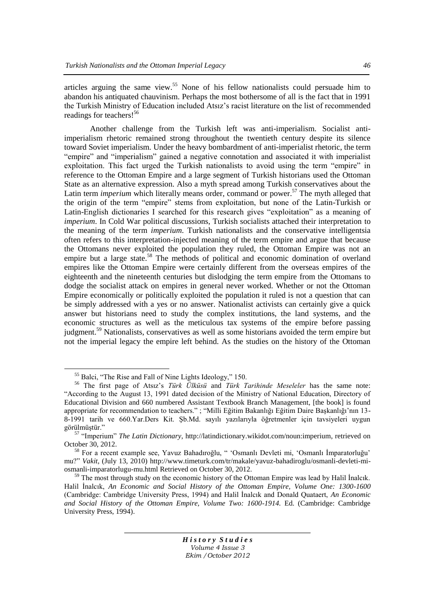articles arguing the same view.<sup>55</sup> None of his fellow nationalists could persuade him to abandon his antiquated chauvinism. Perhaps the most bothersome of all is the fact that in 1991 the Turkish Ministry of Education included Atsız"s racist literature on the list of recommended readings for teachers!<sup>56</sup>

Another challenge from the Turkish left was anti-imperialism. Socialist antiimperialism rhetoric remained strong throughout the twentieth century despite its silence toward Soviet imperialism. Under the heavy bombardment of anti-imperialist rhetoric, the term "empire" and "imperialism" gained a negative connotation and associated it with imperialist exploitation. This fact urged the Turkish nationalists to avoid using the term "empire" in reference to the Ottoman Empire and a large segment of Turkish historians used the Ottoman State as an alternative expression. Also a myth spread among Turkish conservatives about the Latin term *imperium* which literally means order, command or power.<sup>57</sup> The myth alleged that the origin of the term "empire" stems from exploitation, but none of the Latin-Turkish or Latin-English dictionaries I searched for this research gives "exploitation" as a meaning of *imperium*. In Cold War political discussions, Turkish socialists attached their interpretation to the meaning of the term *imperium*. Turkish nationalists and the conservative intelligentsia often refers to this interpretation-injected meaning of the term empire and argue that because the Ottomans never exploited the population they ruled, the Ottoman Empire was not an empire but a large state.<sup>58</sup> The methods of political and economic domination of overland empires like the Ottoman Empire were certainly different from the overseas empires of the eighteenth and the nineteenth centuries but dislodging the term empire from the Ottomans to dodge the socialist attack on empires in general never worked. Whether or not the Ottoman Empire economically or politically exploited the population it ruled is not a question that can be simply addressed with a yes or no answer. Nationalist activists can certainly give a quick answer but historians need to study the complex institutions, the land systems, and the economic structures as well as the meticulous tax systems of the empire before passing judgment.<sup>59</sup> Nationalists, conservatives as well as some historians avoided the term empire but not the imperial legacy the empire left behind. As the studies on the history of the Ottoman

 $\overline{a}$ 

<sup>55</sup> Balci, "The Rise and Fall of Nine Lights Ideology," 150.

<sup>56</sup> The first page of Atsız"s *Türk Ülküsü* and *Türk Tarihinde Meseleler* has the same note: "According to the August 13, 1991 dated decision of the Ministry of National Education, Directory of Educational Division and 660 numbered Assistant Textbook Branch Management, [the book] is found appropriate for recommendation to teachers." ; "Milli Eğitim Bakanlığı Eğitim Daire BaĢkanlığı"nın 13- 8-1991 tarih ve 660.Yar.Ders Kit. Şb.Md. sayılı yazılarıyla öğretmenler için tavsiyeleri uygun görülmüstür."

<sup>57</sup> "Imperium" *The Latin Dictionary*, [http://latindictionary.wikidot.com/noun:imperium,](http://latindictionary.wikidot.com/noun:imperium) retrieved on October 30, 2012.

<sup>&</sup>lt;sup>58</sup> For a recent example see, Yavuz Bahadıroğlu, " 'Osmanlı Devleti mi, 'Osmanlı İmparatorluğu' mu?" *Vakit*, (July 13, 2010) [http://www.timeturk.com/tr/makale/yavuz-bahadiroglu/osmanli-devleti-mi](http://www.timeturk.com/tr/makale/yavuz-bahadiroglu/osmanli-devleti-mi-osmanli-imparatorlugu-mu.html)[osmanli-imparatorlugu-mu.html](http://www.timeturk.com/tr/makale/yavuz-bahadiroglu/osmanli-devleti-mi-osmanli-imparatorlugu-mu.html) Retrieved on October 30, 2012.

 $59$  The most through study on the economic history of the Ottoman Empire was lead by Halil Inalcik. Halil Inalcık, *An Economic and Social History of the Ottoman Empire, Volume One: 1300-1600* (Cambridge: Cambridge University Press, 1994) and Halil Inalcık and Donald Quataert, *An Economic and Social History of the Ottoman Empire, Volume Two: 1600-1914.* Ed. (Cambridge: Cambridge University Press, 1994).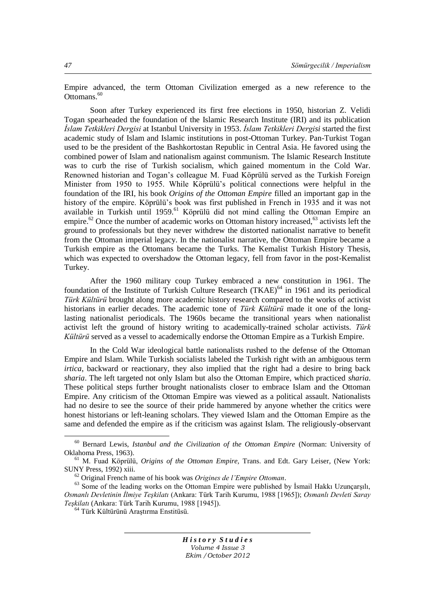Empire advanced, the term Ottoman Civilization emerged as a new reference to the Ottomans.<sup>60</sup>

Soon after Turkey experienced its first free elections in 1950, historian Z. Velidi Togan spearheaded the foundation of the Islamic Research Institute (IRI) and its publication *İslam Tetkikleri Dergisi* at Istanbul University in 1953. *İslam Tetkikleri Dergisi* started the first academic study of Islam and Islamic institutions in post-Ottoman Turkey. Pan-Turkist Togan used to be the president of the Bashkortostan Republic in Central Asia. He favored using the combined power of Islam and nationalism against communism. The Islamic Research Institute was to curb the rise of Turkish socialism, which gained momentum in the Cold War. Renowned historian and Togan"s colleague M. Fuad Köprülü served as the Turkish Foreign Minister from 1950 to 1955. While Köprülü"s political connections were helpful in the foundation of the IRI, his book *Origins of the Ottoman Empire* filled an important gap in the history of the empire. Köprülü's book was first published in French in 1935 and it was not available in Turkish until 1959.<sup>61</sup> Köprülü did not mind calling the Ottoman Empire an empire.<sup>62</sup> Once the number of academic works on Ottoman history increased,<sup>63</sup> activists left the ground to professionals but they never withdrew the distorted nationalist narrative to benefit from the Ottoman imperial legacy. In the nationalist narrative, the Ottoman Empire became a Turkish empire as the Ottomans became the Turks. The Kemalist Turkish History Thesis, which was expected to overshadow the Ottoman legacy, fell from favor in the post-Kemalist Turkey.

After the 1960 military coup Turkey embraced a new constitution in 1961. The foundation of the Institute of Turkish Culture Research (TKAE)<sup>64</sup> in 1961 and its periodical *Türk Kültürü* brought along more academic history research compared to the works of activist historians in earlier decades. The academic tone of *Türk Kültürü* made it one of the longlasting nationalist periodicals. The 1960s became the transitional years when nationalist activist left the ground of history writing to academically-trained scholar activists. *Türk Kültürü* served as a vessel to academically endorse the Ottoman Empire as a Turkish Empire.

In the Cold War ideological battle nationalists rushed to the defense of the Ottoman Empire and Islam. While Turkish socialists labeled the Turkish right with an ambiguous term *irtica*, backward or reactionary, they also implied that the right had a desire to bring back *sharia*. The left targeted not only Islam but also the Ottoman Empire, which practiced *sharia*. These political steps further brought nationalists closer to embrace Islam and the Ottoman Empire. Any criticism of the Ottoman Empire was viewed as a political assault. Nationalists had no desire to see the source of their pride hammered by anyone whether the critics were honest historians or left-leaning scholars. They viewed Islam and the Ottoman Empire as the same and defended the empire as if the criticism was against Islam. The religiously-observant

*H i s t o r y S t u d i e s Volume 4 Issue 3 Ekim /October 2012*

<sup>60</sup> Bernard Lewis, *Istanbul and the Civilization of the Ottoman Empire* (Norman: University of Oklahoma Press, 1963).

<sup>61</sup> M. Fuad Köprülü, *Origins of the Ottoman Empire,* Trans. and Edt. Gary Leiser, (New York: SUNY Press, 1992) xiii.

<sup>62</sup> Original French name of his book was *Origines de l'Empire Ottoman*.

 $^{63}$  Some of the leading works on the Ottoman Empire were published by İsmail Hakkı Uzunçarşılı, *Osmanlı Devletinin İlmiye Teşkilatı* (Ankara: Türk Tarih Kurumu, 1988 [1965]); *Osmanlı Devleti Saray Teşkilatı* (Ankara: Türk Tarih Kurumu, 1988 [1945]).

<sup>&</sup>lt;sup>64</sup> Türk Kültürünü Arastırma Enstitüsü.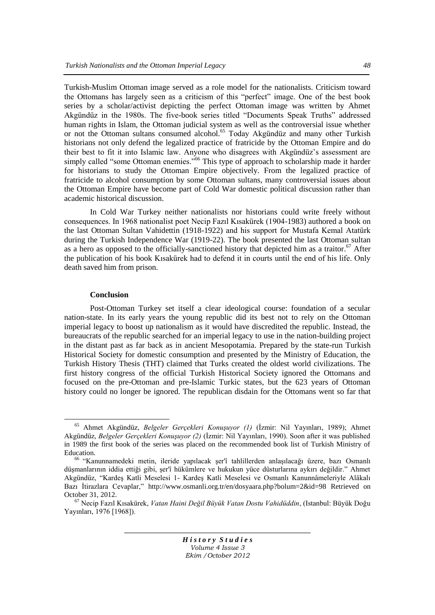Turkish-Muslim Ottoman image served as a role model for the nationalists. Criticism toward the Ottomans has largely seen as a criticism of this "perfect" image. One of the best book series by a scholar/activist depicting the perfect Ottoman image was written by Ahmet Akgündüz in the 1980s. The five-book series titled "Documents Speak Truths" addressed human rights in Islam, the Ottoman judicial system as well as the controversial issue whether or not the Ottoman sultans consumed alcohol.<sup>65</sup> Today Akgündüz and many other Turkish historians not only defend the legalized practice of fratricide by the Ottoman Empire and do their best to fit it into Islamic law. Anyone who disagrees with Akgündüz"s assessment are simply called "some Ottoman enemies."<sup>66</sup> This type of approach to scholarship made it harder for historians to study the Ottoman Empire objectively. From the legalized practice of fratricide to alcohol consumption by some Ottoman sultans, many controversial issues about the Ottoman Empire have become part of Cold War domestic political discussion rather than academic historical discussion.

In Cold War Turkey neither nationalists nor historians could write freely without consequences. In 1968 nationalist poet Necip Fazıl Kısakürek (1904-1983) authored a book on the last Ottoman Sultan Vahidettin (1918-1922) and his support for Mustafa Kemal Atatürk during the Turkish Independence War (1919-22). The book presented the last Ottoman sultan as a hero as opposed to the officially-sanctioned history that depicted him as a traitor.<sup>67</sup> After the publication of his book Kısakürek had to defend it in courts until the end of his life. Only death saved him from prison.

# **Conclusion**

 $\overline{a}$ 

Post-Ottoman Turkey set itself a clear ideological course: foundation of a secular nation-state. In its early years the young republic did its best not to rely on the Ottoman imperial legacy to boost up nationalism as it would have discredited the republic. Instead, the bureaucrats of the republic searched for an imperial legacy to use in the nation-building project in the distant past as far back as in ancient Mesopotamia. Prepared by the state-run Turkish Historical Society for domestic consumption and presented by the Ministry of Education, the Turkish History Thesis (THT) claimed that Turks created the oldest world civilizations. The first history congress of the official Turkish Historical Society ignored the Ottomans and focused on the pre-Ottoman and pre-Islamic Turkic states, but the 623 years of Ottoman history could no longer be ignored. The republican disdain for the Ottomans went so far that

<sup>&</sup>lt;sup>65</sup> Ahmet Akgündüz, *Belgeler Gerçekleri Konuşuyor (1)* (İzmir: Nil Yayınları, 1989); Ahmet Akgündüz, *Belgeler Gerçekleri Konuşuyor (2)* (İzmir: Nil Yayınları, 1990). Soon after it was published in 1989 the first book of the series was placed on the recommended book list of Turkish Ministry of Education.

<sup>&</sup>lt;sup>66</sup> "Kanunnamedeki metin, ileride yapılacak şer'î tahlillerden anlaşılacağı üzere, bazı Osmanlı düşmanlarının iddia ettiği gibi, şer'î hükümlere ve hukukun vüce düşturlarına aykırı değildir." Ahmet Akgündüz, "KardeĢ Katli Meselesi 1- KardeĢ Katli Meselesi ve Osmanlı Kanunnâmeleriyle Alâkalı Bazı İtirazlara Cevaplar," <http://www.osmanli.org.tr/en/dosyaara.php?bolum=2&id=98> Retrieved on October 31, 2012.

<sup>67</sup> Necip Fazıl Kısakürek, *Vatan Haini Değil Büyük Vatan Dostu Vahidüddin*, (Istanbul: Büyük Doğu Yayınları, 1976 [1968]).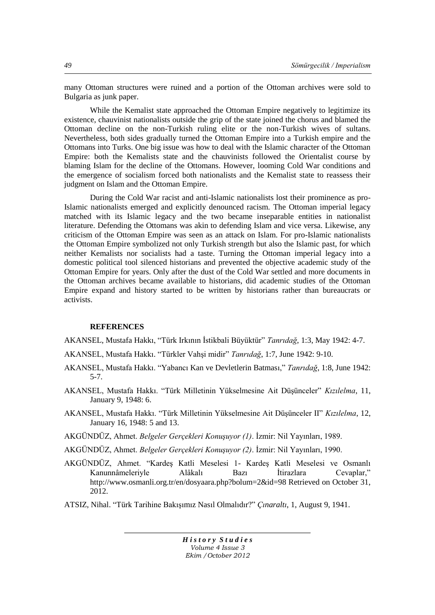many Ottoman structures were ruined and a portion of the Ottoman archives were sold to Bulgaria as junk paper.

While the Kemalist state approached the Ottoman Empire negatively to legitimize its existence, chauvinist nationalists outside the grip of the state joined the chorus and blamed the Ottoman decline on the non-Turkish ruling elite or the non-Turkish wives of sultans. Nevertheless, both sides gradually turned the Ottoman Empire into a Turkish empire and the Ottomans into Turks. One big issue was how to deal with the Islamic character of the Ottoman Empire: both the Kemalists state and the chauvinists followed the Orientalist course by blaming Islam for the decline of the Ottomans. However, looming Cold War conditions and the emergence of socialism forced both nationalists and the Kemalist state to reassess their judgment on Islam and the Ottoman Empire.

During the Cold War racist and anti-Islamic nationalists lost their prominence as pro-Islamic nationalists emerged and explicitly denounced racism. The Ottoman imperial legacy matched with its Islamic legacy and the two became inseparable entities in nationalist literature. Defending the Ottomans was akin to defending Islam and vice versa. Likewise, any criticism of the Ottoman Empire was seen as an attack on Islam. For pro-Islamic nationalists the Ottoman Empire symbolized not only Turkish strength but also the Islamic past, for which neither Kemalists nor socialists had a taste. Turning the Ottoman imperial legacy into a domestic political tool silenced historians and prevented the objective academic study of the Ottoman Empire for years. Only after the dust of the Cold War settled and more documents in the Ottoman archives became available to historians, did academic studies of the Ottoman Empire expand and history started to be written by historians rather than bureaucrats or activists.

# **REFERENCES**

AKANSEL, Mustafa Hakkı, "Türk Irkının Ġstikbali Büyüktür" *Tanrıdağ*, 1:3, May 1942: 4-7.

- AKANSEL, Mustafa Hakkı. "Türkler VahĢi midir" *Tanrıdağ*, 1:7, June 1942: 9-10.
- AKANSEL, Mustafa Hakkı. "Yabancı Kan ve Devletlerin Batması," *Tanrıdağ*, 1:8, June 1942: 5-7.
- AKANSEL, Mustafa Hakkı. "Türk Milletinin Yükselmesine Ait DüĢünceler" *Kızılelma*, 11, January 9, 1948: 6.
- AKANSEL, Mustafa Hakkı. "Türk Milletinin Yükselmesine Ait DüĢünceler II" *Kızılelma*, 12, January 16, 1948: 5 and 13.
- AKGÜNDÜZ, Ahmet. *Belgeler Gerçekleri Konuşuyor (1)*. Ġzmir: Nil Yayınları, 1989.
- AKGÜNDÜZ, Ahmet. *Belgeler Gerçekleri Konuşuyor (2)*. İzmir: Nil Yayınları, 1990.
- AKGÜNDÜZ, Ahmet. "KardeĢ Katli Meselesi 1- KardeĢ Katli Meselesi ve Osmanlı Kanunnâmeleriyle Alâkalı Bazı İtirazlara Cevaplar," <http://www.osmanli.org.tr/en/dosyaara.php?bolum=2&id=98> Retrieved on October 31, 2012.
- ATSIZ, Nihal. "Türk Tarihine BakıĢımız Nasıl Olmalıdır?" *Çınaraltı*, 1, August 9, 1941.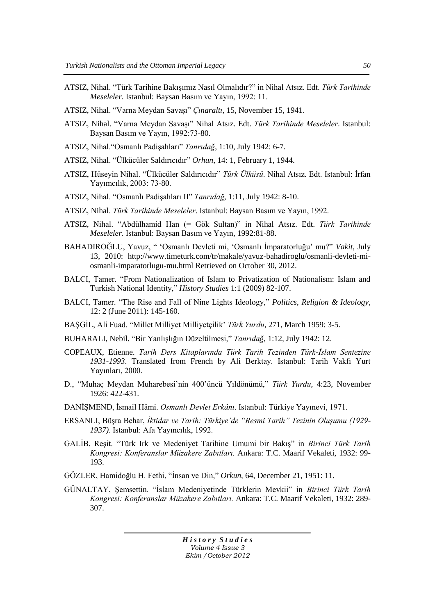- ATSIZ, Nihal. "Türk Tarihine BakıĢımız Nasıl Olmalıdır?" in Nihal Atsız. Edt. *Türk Tarihinde Meseleler*. Istanbul: Baysan Basım ve Yayın, 1992: 11.
- ATSIZ, Nihal. "Varna Meydan Savası" *Cınaraltı*, 15, November 15, 1941.
- ATSIZ, Nihal. "Varna Meydan SavaĢı" Nihal Atsız. Edt. *Türk Tarihinde Meseleler*. Istanbul: Baysan Basım ve Yayın, 1992:73-80.
- ATSIZ, Nihal."Osmanlı PadiĢahları" *Tanrıdağ*, 1:10, July 1942: 6-7.
- ATSIZ, Nihal. "Ülkücüler Saldırıcıdır" *Orhun*, 14: 1, February 1, 1944.
- ATSIZ, Hüseyin Nihal. "Ülkücüler Saldırıcıdır" *Türk Ülküsü*. Nihal Atsız. Edt. Istanbul: İrfan Yayımcılık, 2003: 73-80.
- ATSIZ, Nihal. "Osmanlı PadiĢahları II" *Tanrıdağ*, 1:11, July 1942: 8-10.
- ATSIZ, Nihal. *Türk Tarihinde Meseleler*. Istanbul: Baysan Basım ve Yayın, 1992.
- ATSIZ, Nihal. "Abdülhamid Han (= Gök Sultan)" in Nihal Atsız. Edt. *Türk Tarihinde Meseleler*. Istanbul: Baysan Basım ve Yayın, 1992:81-88.
- BAHADIROĞLU, Yavuz, " 'Osmanlı Devleti mi, 'Osmanlı İmparatorluğu' mu?" *Vakit*, July 13, 2010: [http://www.timeturk.com/tr/makale/yavuz-bahadiroglu/osmanli-devleti-mi](http://www.timeturk.com/tr/makale/yavuz-bahadiroglu/osmanli-devleti-mi-osmanli-imparatorlugu-mu.html)[osmanli-imparatorlugu-mu.html](http://www.timeturk.com/tr/makale/yavuz-bahadiroglu/osmanli-devleti-mi-osmanli-imparatorlugu-mu.html) Retrieved on October 30, 2012.
- BALCI, Tamer. "From Nationalization of Islam [to Privatization of Nationalism: Islam and](http://www.historystudies.net/DergiTamDetay.aspx?ID=10&Detay=Ozet)  [Turkish National Identity,"](http://www.historystudies.net/DergiTamDetay.aspx?ID=10&Detay=Ozet) *History Studies* 1:1 (2009) 82-107.
- BALCI, Tamer. "The Rise and Fall of Nine Lights Ideology," *Politics, Religion & Ideology*, 12: 2 (June 2011): 145-160.
- BAŞGİL, Ali Fuad. "Millet Milliyet Milliyetçilik" *Türk Yurdu*, 271, March 1959: 3-5.
- BUHARALI, Nebil. "Bir YanlıĢlığın Düzeltilmesi," *Tanrıdağ*, 1:12, July 1942: 12.
- COPEAUX, Etienne. *Tarih Ders Kitaplarında Türk Tarih Tezinden Türk-İslam Sentezine 1931-1993*. Translated from French by Ali Berktay. Istanbul: Tarih Vakfı Yurt Yayınları, 2000.
- D., "Muhaç Meydan Muharebesi"nin 400"üncü Yıldönümü," *Türk Yurdu*, 4:23, November 1926: 422-431.
- DANĠġMEND, Ġsmail Hâmi. *Osmanlı Devlet Erkânı*. Istanbul: Türkiye Yayınevi, 1971.
- ERSANLI, BüĢra Behar, *İktidar ve Tarih: Türkiye'de "Resmi Tarih" Tezinin Oluşumu (1929- 1937)*. Istanbul: Afa Yayıncılık, 1992.
- GALİB, Resit. "Türk Irk ve Medeniyet Tarihine Umumi bir Bakıs" in *Birinci Türk Tarih Kongresi: Konferanslar Müzakere Zabıtları.* Ankara: T.C. Maarif Vekaleti, 1932: 99- 193.
- GÖZLER, Hamidoğlu H. Fethi, "Ġnsan ve Din," *Orkun*, 64, December 21, 1951: 11.
- GÜNALTAY, ġemsettin. "Ġslam Medeniyetinde Türklerin Mevkii" in *Birinci Türk Tarih Kongresi: Konferanslar Müzakere Zabıtları.* Ankara: T.C. Maarif Vekaleti, 1932: 289- 307.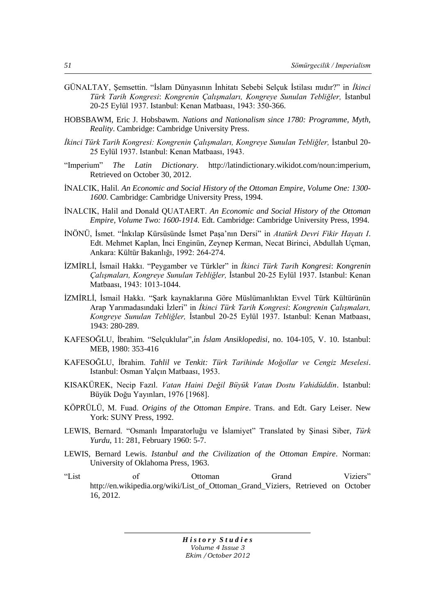- GÜNALTAY, Semsettin. "İslam Dünyasının İnhitatı Sebebi Selçuk İstilası mıdır?" in *İkinci Türk Tarih Kongresi*: *Kongrenin Çalışmaları, Kongreye Sunulan Tebliğler,* Ġstanbul 20-25 Eylül 1937. Istanbul: Kenan Matbaası, 1943: 350-366.
- HOBSBAWM, Eric J. Hobsbawm. *Nations and Nationalism since 1780: Programme, Myth, Reality*. Cambridge: Cambridge University Press.
- İkinci Türk Tarih Kongresi: Kongrenin Çalışmaları, Kongreye Sunulan Tebliğler, İstanbul 20-25 Eylül 1937. Istanbul: Kenan Matbaası, 1943.
- "Imperium" *The Latin Dictionary*. [http://latindictionary.wikidot.com/noun:imperium,](http://latindictionary.wikidot.com/noun:imperium) Retrieved on October 30, 2012.
- INALCIK, Halil. *An Economic and Social History of the Ottoman Empire, Volume One: 1300-1600*. Cambridge: Cambridge University Press, 1994.
- İNALCIK, Halil and Donald QUATAERT. An Economic and Social History of the Ottoman *Empire, Volume Two: 1600-1914.* Edt. Cambridge: Cambridge University Press, 1994.
- İNÖNÜ, İsmet. "İnkılap Kürsüsünde İsmet Paşa'nın Dersi" in Atatürk Devri Fikir Hayatı I. Edt. Mehmet Kaplan, İnci Enginün, Zeynep Kerman, Necat Birinci, Abdullah Uçman, Ankara: Kültür Bakanlığı, 1992: 264-274.
- İZMİRLİ, İsmail Hakkı. "Peygamber ve Türkler" in *İkinci Türk Tarih Kongresi: Kongrenin Çalışmaları, Kongreye Sunulan Tebliğler,* Ġstanbul 20-25 Eylül 1937. Istanbul: Kenan Matbaası, 1943: 1013-1044.
- İZMİRLİ, İsmail Hakkı. "Şark kaynaklarına Göre Müslümanlıktan Evvel Türk Kültürünün Arap Yarımadasındaki Ġzleri" in *İkinci Türk Tarih Kongresi*: *Kongrenin Çalışmaları, Kongreye Sunulan Tebliğler,* Ġstanbul 20-25 Eylül 1937. Istanbul: Kenan Matbaası, 1943: 280-289.
- KAFESOĞLU, İbrahim. "Selçuklular",in *İslam Ansiklopedisi*, no. 104-105, V. 10. Istanbul: MEB, 1980: 353-416
- KAFESOĞLU, Ġbrahim. *Tahlil ve Tenkit: Türk Tarihinde Moğollar ve Cengiz Meselesi*. Istanbul: Osman Yalçın Matbaası, 1953.
- KISAKÜREK, Necip Fazıl. *Vatan Haini Değil Büyük Vatan Dostu Vahidüddin*. Istanbul: Büyük Doğu Yayınları, 1976 [1968].
- KÖPRÜLÜ, M. Fuad. *Origins of the Ottoman Empire*. Trans. and Edt. Gary Leiser. New York: SUNY Press, 1992.
- LEWIS, Bernard. "Osmanlı İmparatorluğu ve İslamiyet" Translated by Şinasi Siber, *Türk Yurdu*, 11: 281, February 1960: 5-7.
- LEWIS, Bernard Lewis. *Istanbul and the Civilization of the Ottoman Empire*. Norman: University of Oklahoma Press, 1963.
- "List of Ottoman Grand Viziers" http://en.wikipedia.org/wiki/List of Ottoman Grand Viziers, Retrieved on October 16, 2012.